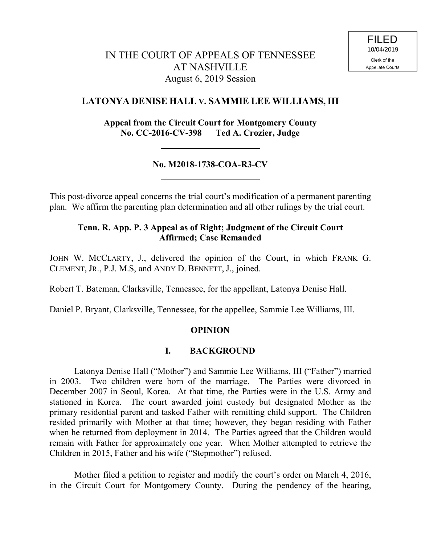# **LATONYA DENISE HALL V. SAMMIE LEE WILLIAMS, III**

**Appeal from the Circuit Court for Montgomery County No. CC-2016-CV-398 Ted A. Crozier, Judge**

## **No. M2018-1738-COA-R3-CV**

This post-divorce appeal concerns the trial court's modification of a permanent parenting plan. We affirm the parenting plan determination and all other rulings by the trial court.

### **Tenn. R. App. P. 3 Appeal as of Right; Judgment of the Circuit Court Affirmed; Case Remanded**

JOHN W. MCCLARTY, J., delivered the opinion of the Court, in which FRANK G. CLEMENT, JR., P.J. M.S, and ANDY D. BENNETT, J., joined.

Robert T. Bateman, Clarksville, Tennessee, for the appellant, Latonya Denise Hall.

Daniel P. Bryant, Clarksville, Tennessee, for the appellee, Sammie Lee Williams, III.

### **OPINION**

### **I. BACKGROUND**

Latonya Denise Hall ("Mother") and Sammie Lee Williams, III ("Father") married in 2003. Two children were born of the marriage. The Parties were divorced in December 2007 in Seoul, Korea. At that time, the Parties were in the U.S. Army and stationed in Korea. The court awarded joint custody but designated Mother as the primary residential parent and tasked Father with remitting child support. The Children resided primarily with Mother at that time; however, they began residing with Father when he returned from deployment in 2014. The Parties agreed that the Children would remain with Father for approximately one year. When Mother attempted to retrieve the Children in 2015, Father and his wife ("Stepmother") refused.

Mother filed a petition to register and modify the court's order on March 4, 2016, in the Circuit Court for Montgomery County. During the pendency of the hearing,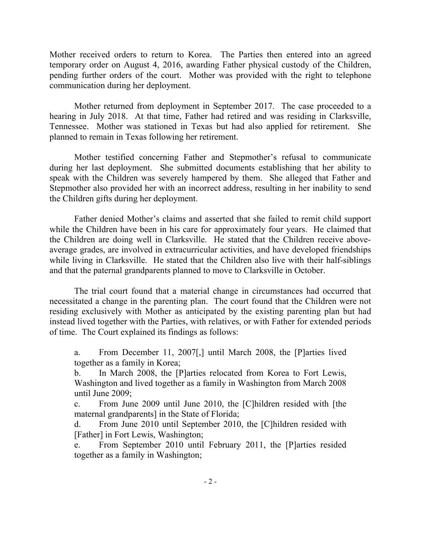Mother received orders to return to Korea. The Parties then entered into an agreed temporary order on August 4, 2016, awarding Father physical custody of the Children, pending further orders of the court. Mother was provided with the right to telephone communication during her deployment.

Mother returned from deployment in September 2017. The case proceeded to a hearing in July 2018. At that time, Father had retired and was residing in Clarksville, Tennessee. Mother was stationed in Texas but had also applied for retirement. She planned to remain in Texas following her retirement.

Mother testified concerning Father and Stepmother's refusal to communicate during her last deployment. She submitted documents establishing that her ability to speak with the Children was severely hampered by them. She alleged that Father and Stepmother also provided her with an incorrect address, resulting in her inability to send the Children gifts during her deployment.

Father denied Mother's claims and asserted that she failed to remit child support while the Children have been in his care for approximately four years. He claimed that the Children are doing well in Clarksville. He stated that the Children receive aboveaverage grades, are involved in extracurricular activities, and have developed friendships while living in Clarksville. He stated that the Children also live with their half-siblings and that the paternal grandparents planned to move to Clarksville in October.

The trial court found that a material change in circumstances had occurred that necessitated a change in the parenting plan. The court found that the Children were not residing exclusively with Mother as anticipated by the existing parenting plan but had instead lived together with the Parties, with relatives, or with Father for extended periods of time. The Court explained its findings as follows:

a. From December 11, 2007[,] until March 2008, the [P]arties lived together as a family in Korea;

b. In March 2008, the [P]arties relocated from Korea to Fort Lewis, Washington and lived together as a family in Washington from March 2008 until June 2009;

c. From June 2009 until June 2010, the [C]hildren resided with [the maternal grandparents] in the State of Florida;

d. From June 2010 until September 2010, the [C]hildren resided with [Father] in Fort Lewis, Washington;

e. From September 2010 until February 2011, the [P]arties resided together as a family in Washington;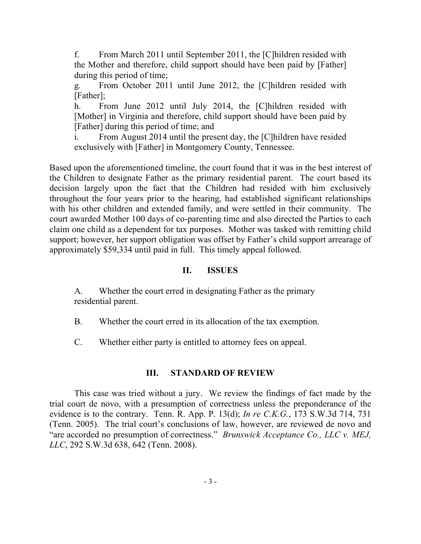f. From March 2011 until September 2011, the [C]hildren resided with the Mother and therefore, child support should have been paid by [Father] during this period of time;

g. From October 2011 until June 2012, the [C]hildren resided with [Father];

h. From June 2012 until July 2014, the [C] hildren resided with [Mother] in Virginia and therefore, child support should have been paid by [Father] during this period of time; and

i. From August 2014 until the present day, the [C]hildren have resided exclusively with [Father] in Montgomery County, Tennessee.

Based upon the aforementioned timeline, the court found that it was in the best interest of the Children to designate Father as the primary residential parent. The court based its decision largely upon the fact that the Children had resided with him exclusively throughout the four years prior to the hearing, had established significant relationships with his other children and extended family, and were settled in their community. The court awarded Mother 100 days of co-parenting time and also directed the Parties to each claim one child as a dependent for tax purposes. Mother was tasked with remitting child support; however, her support obligation was offset by Father's child support arrearage of approximately \$59,334 until paid in full. This timely appeal followed.

## **II. ISSUES**

A. Whether the court erred in designating Father as the primary residential parent.

B. Whether the court erred in its allocation of the tax exemption.

C. Whether either party is entitled to attorney fees on appeal.

### **III. STANDARD OF REVIEW**

This case was tried without a jury. We review the findings of fact made by the trial court de novo, with a presumption of correctness unless the preponderance of the evidence is to the contrary. Tenn. R. App. P. 13(d); *In re C.K.G.*, 173 S.W.3d 714, 731 (Tenn. 2005). The trial court's conclusions of law, however, are reviewed de novo and "are accorded no presumption of correctness." *Brunswick Acceptance Co., LLC v. MEJ, LLC*, 292 S.W.3d 638, 642 (Tenn. 2008).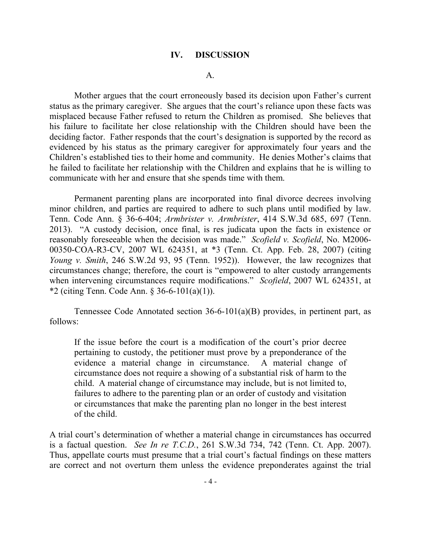#### **IV. DISCUSSION**

#### A.

Mother argues that the court erroneously based its decision upon Father's current status as the primary caregiver. She argues that the court's reliance upon these facts was misplaced because Father refused to return the Children as promised. She believes that his failure to facilitate her close relationship with the Children should have been the deciding factor. Father responds that the court's designation is supported by the record as evidenced by his status as the primary caregiver for approximately four years and the Children's established ties to their home and community. He denies Mother's claims that he failed to facilitate her relationship with the Children and explains that he is willing to communicate with her and ensure that she spends time with them.

Permanent parenting plans are incorporated into final divorce decrees involving minor children, and parties are required to adhere to such plans until modified by law. Tenn. Code Ann. § 36-6-404; *Armbrister v. Armbrister*, 414 S.W.3d 685, 697 (Tenn. 2013). "A custody decision, once final, is res judicata upon the facts in existence or reasonably foreseeable when the decision was made." *Scofield v. Scofield*, No. M2006- 00350-COA-R3-CV, 2007 WL 624351, at \*3 (Tenn. Ct. App. Feb. 28, 2007) (citing *Young v. Smith*, 246 S.W.2d 93, 95 (Tenn. 1952)). However, the law recognizes that circumstances change; therefore, the court is "empowered to alter custody arrangements when intervening circumstances require modifications." *Scofield*, 2007 WL 624351, at \*2 (citing Tenn. Code Ann. § 36-6-101(a)(1)).

Tennessee Code Annotated section 36-6-101(a)(B) provides, in pertinent part, as follows:

If the issue before the court is a modification of the court's prior decree pertaining to custody, the petitioner must prove by a preponderance of the evidence a material change in circumstance. A material change of circumstance does not require a showing of a substantial risk of harm to the child. A material change of circumstance may include, but is not limited to, failures to adhere to the parenting plan or an order of custody and visitation or circumstances that make the parenting plan no longer in the best interest of the child.

A trial court's determination of whether a material change in circumstances has occurred is a factual question. *See In re T.C.D.*, 261 S.W.3d 734, 742 (Tenn. Ct. App. 2007). Thus, appellate courts must presume that a trial court's factual findings on these matters are correct and not overturn them unless the evidence preponderates against the trial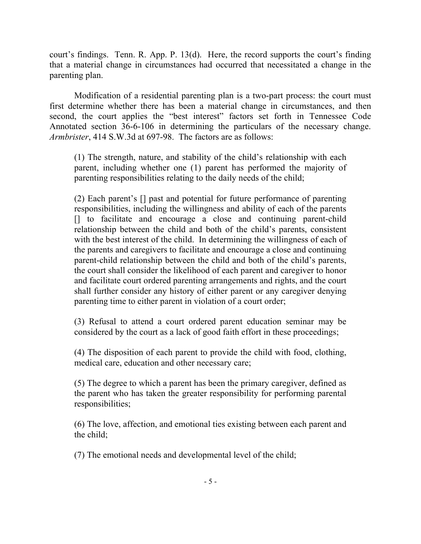court's findings. Tenn. R. App. P. 13(d). Here, the record supports the court's finding that a material change in circumstances had occurred that necessitated a change in the parenting plan.

Modification of a residential parenting plan is a two-part process: the court must first determine whether there has been a material change in circumstances, and then second, the court applies the "best interest" factors set forth in Tennessee Code Annotated section 36-6-106 in determining the particulars of the necessary change. *Armbrister*, 414 S.W.3d at 697-98. The factors are as follows:

(1) The strength, nature, and stability of the child's relationship with each parent, including whether one (1) parent has performed the majority of parenting responsibilities relating to the daily needs of the child;

(2) Each parent's [] past and potential for future performance of parenting responsibilities, including the willingness and ability of each of the parents [] to facilitate and encourage a close and continuing parent-child relationship between the child and both of the child's parents, consistent with the best interest of the child. In determining the willingness of each of the parents and caregivers to facilitate and encourage a close and continuing parent-child relationship between the child and both of the child's parents, the court shall consider the likelihood of each parent and caregiver to honor and facilitate court ordered parenting arrangements and rights, and the court shall further consider any history of either parent or any caregiver denying parenting time to either parent in violation of a court order;

(3) Refusal to attend a court ordered parent education seminar may be considered by the court as a lack of good faith effort in these proceedings;

(4) The disposition of each parent to provide the child with food, clothing, medical care, education and other necessary care;

(5) The degree to which a parent has been the primary caregiver, defined as the parent who has taken the greater responsibility for performing parental responsibilities;

(6) The love, affection, and emotional ties existing between each parent and the child;

(7) The emotional needs and developmental level of the child;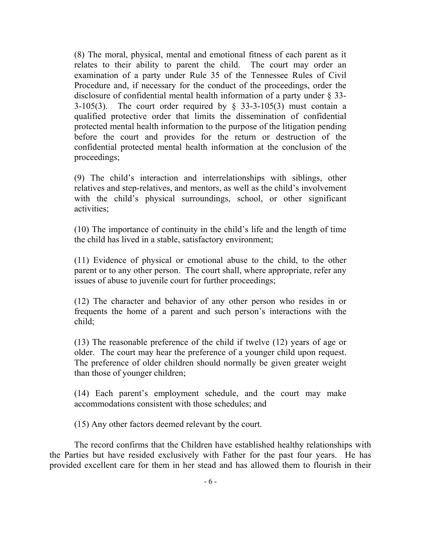(8) The moral, physical, mental and emotional fitness of each parent as it relates to their ability to parent the child. The court may order an examination of a party under Rule 35 of the Tennessee Rules of Civil Procedure and, if necessary for the conduct of the proceedings, order the disclosure of confidential mental health information of a party under § 33- 3-105(3). The court order required by  $\S$  33-3-105(3) must contain a qualified protective order that limits the dissemination of confidential protected mental health information to the purpose of the litigation pending before the court and provides for the return or destruction of the confidential protected mental health information at the conclusion of the proceedings;

(9) The child's interaction and interrelationships with siblings, other relatives and step-relatives, and mentors, as well as the child's involvement with the child's physical surroundings, school, or other significant activities;

(10) The importance of continuity in the child's life and the length of time the child has lived in a stable, satisfactory environment;

(11) Evidence of physical or emotional abuse to the child, to the other parent or to any other person. The court shall, where appropriate, refer any issues of abuse to juvenile court for further proceedings;

(12) The character and behavior of any other person who resides in or frequents the home of a parent and such person's interactions with the child;

(13) The reasonable preference of the child if twelve (12) years of age or older. The court may hear the preference of a younger child upon request. The preference of older children should normally be given greater weight than those of younger children;

(14) Each parent's employment schedule, and the court may make accommodations consistent with those schedules; and

(15) Any other factors deemed relevant by the court.

The record confirms that the Children have established healthy relationships with the Parties but have resided exclusively with Father for the past four years. He has provided excellent care for them in her stead and has allowed them to flourish in their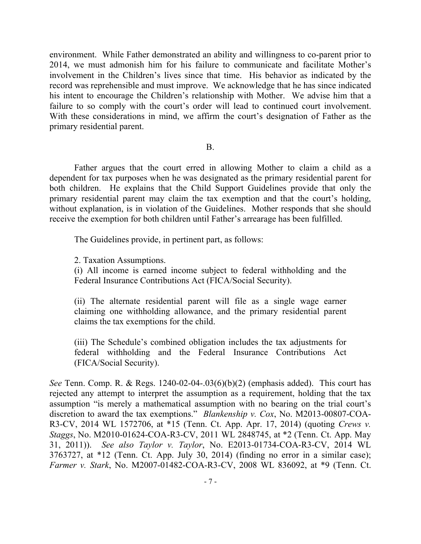environment. While Father demonstrated an ability and willingness to co-parent prior to 2014, we must admonish him for his failure to communicate and facilitate Mother's involvement in the Children's lives since that time. His behavior as indicated by the record was reprehensible and must improve. We acknowledge that he has since indicated his intent to encourage the Children's relationship with Mother. We advise him that a failure to so comply with the court's order will lead to continued court involvement. With these considerations in mind, we affirm the court's designation of Father as the primary residential parent.

#### B.

Father argues that the court erred in allowing Mother to claim a child as a dependent for tax purposes when he was designated as the primary residential parent for both children. He explains that the Child Support Guidelines provide that only the primary residential parent may claim the tax exemption and that the court's holding, without explanation, is in violation of the Guidelines. Mother responds that she should receive the exemption for both children until Father's arrearage has been fulfilled.

The Guidelines provide, in pertinent part, as follows:

2. Taxation Assumptions.

(i) All income is earned income subject to federal withholding and the Federal Insurance Contributions Act (FICA/Social Security).

(ii) The alternate residential parent will file as a single wage earner claiming one withholding allowance, and the primary residential parent claims the tax exemptions for the child.

(iii) The Schedule's combined obligation includes the tax adjustments for federal withholding and the Federal Insurance Contributions Act (FICA/Social Security).

*See* Tenn. Comp. R. & Regs. 1240-02-04-.03(6)(b)(2) (emphasis added). This court has rejected any attempt to interpret the assumption as a requirement, holding that the tax assumption "is merely a mathematical assumption with no bearing on the trial court's discretion to award the tax exemptions." *Blankenship v. Cox*, No. M2013-00807-COA-R3-CV, 2014 WL 1572706, at \*15 (Tenn. Ct. App. Apr. 17, 2014) (quoting *Crews v. Staggs*, No. M2010-01624-COA-R3-CV, 2011 WL 2848745, at \*2 (Tenn. Ct. App. May 31, 2011)). *See also Taylor v. Taylor*, No. E2013-01734-COA-R3-CV, 2014 WL 3763727, at \*12 (Tenn. Ct. App. July 30, 2014) (finding no error in a similar case); *Farmer v. Stark*, No. M2007-01482-COA-R3-CV, 2008 WL 836092, at \*9 (Tenn. Ct.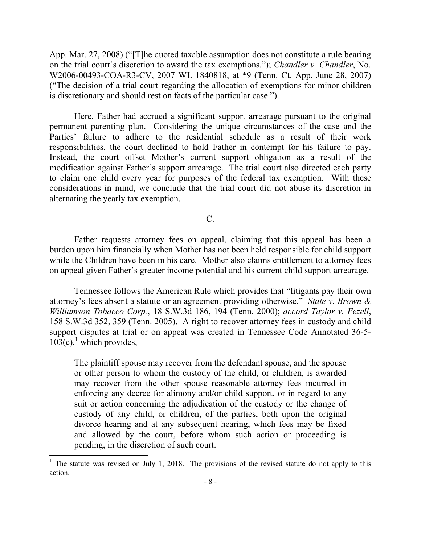App. Mar. 27, 2008) ("[T]he quoted taxable assumption does not constitute a rule bearing on the trial court's discretion to award the tax exemptions."); *Chandler v. Chandler*, No. W2006-00493-COA-R3-CV, 2007 WL 1840818, at \*9 (Tenn. Ct. App. June 28, 2007) ("The decision of a trial court regarding the allocation of exemptions for minor children is discretionary and should rest on facts of the particular case.").

Here, Father had accrued a significant support arrearage pursuant to the original permanent parenting plan. Considering the unique circumstances of the case and the Parties' failure to adhere to the residential schedule as a result of their work responsibilities, the court declined to hold Father in contempt for his failure to pay. Instead, the court offset Mother's current support obligation as a result of the modification against Father's support arrearage. The trial court also directed each party to claim one child every year for purposes of the federal tax exemption. With these considerations in mind, we conclude that the trial court did not abuse its discretion in alternating the yearly tax exemption.

C.

Father requests attorney fees on appeal, claiming that this appeal has been a burden upon him financially when Mother has not been held responsible for child support while the Children have been in his care. Mother also claims entitlement to attorney fees on appeal given Father's greater income potential and his current child support arrearage.

Tennessee follows the American Rule which provides that "litigants pay their own attorney's fees absent a statute or an agreement providing otherwise." *State v. Brown & Williamson Tobacco Corp.*, 18 S.W.3d 186, 194 (Tenn. 2000); *accord Taylor v. Fezell*, 158 S.W.3d 352, 359 (Tenn. 2005). A right to recover attorney fees in custody and child support disputes at trial or on appeal was created in Tennessee Code Annotated 36-5-  $103(c)$ ,<sup>1</sup> which provides,

The plaintiff spouse may recover from the defendant spouse, and the spouse or other person to whom the custody of the child, or children, is awarded may recover from the other spouse reasonable attorney fees incurred in enforcing any decree for alimony and/or child support, or in regard to any suit or action concerning the adjudication of the custody or the change of custody of any child, or children, of the parties, both upon the original divorce hearing and at any subsequent hearing, which fees may be fixed and allowed by the court, before whom such action or proceeding is pending, in the discretion of such court.

l

<sup>&</sup>lt;sup>1</sup> The statute was revised on July 1, 2018. The provisions of the revised statute do not apply to this action.